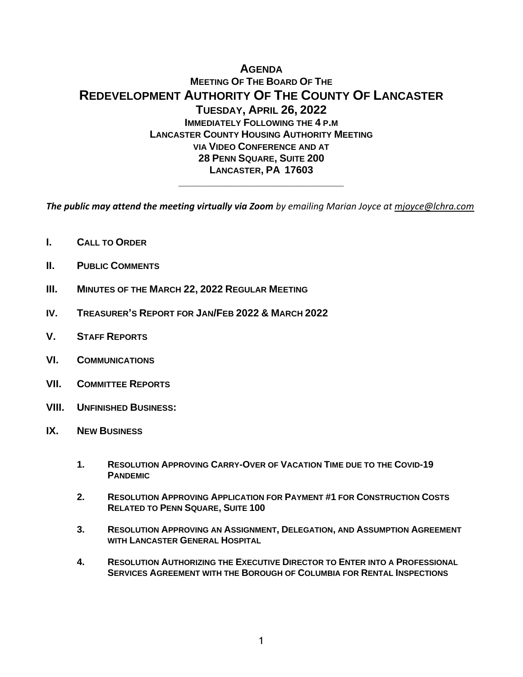# **AGENDA MEETING OF THE BOARD OF THE REDEVELOPMENT AUTHORITY OF THE COUNTY OF LANCASTER TUESDAY, APRIL 26, 2022 IMMEDIATELY FOLLOWING THE 4 P.M LANCASTER COUNTY HOUSING AUTHORITY MEETING VIA VIDEO CONFERENCE AND AT 28 PENN SQUARE, SUITE 200 LANCASTER, PA 17603 \_\_\_\_\_\_\_\_\_\_\_\_\_\_\_\_\_\_\_\_\_\_\_\_\_\_\_\_\_**

*The public may attend the meeting virtually via Zoom by emailing Marian Joyce at [mjoyce@lchra.com](mailto:mjoyce@lchra.com)* 

- **I. CALL TO ORDER**
- **II. PUBLIC COMMENTS**
- **III. MINUTES OF THE MARCH 22, 2022 REGULAR MEETING**
- **IV. TREASURER'S REPORT FOR JAN/FEB 2022 & MARCH 2022**
- **V. STAFF REPORTS**
- **VI. COMMUNICATIONS**
- **VII. COMMITTEE REPORTS**
- **VIII. UNFINISHED BUSINESS:**
- **IX. NEW BUSINESS**
	- **1. RESOLUTION APPROVING CARRY-OVER OF VACATION TIME DUE TO THE COVID-19 PANDEMIC**
	- **2. RESOLUTION APPROVING APPLICATION FOR PAYMENT #1 FOR CONSTRUCTION COSTS RELATED TO PENN SQUARE, SUITE 100**
	- **3. RESOLUTION APPROVING AN ASSIGNMENT, DELEGATION, AND ASSUMPTION AGREEMENT WITH LANCASTER GENERAL HOSPITAL**
	- **4. RESOLUTION AUTHORIZING THE EXECUTIVE DIRECTOR TO ENTER INTO A PROFESSIONAL SERVICES AGREEMENT WITH THE BOROUGH OF COLUMBIA FOR RENTAL INSPECTIONS**